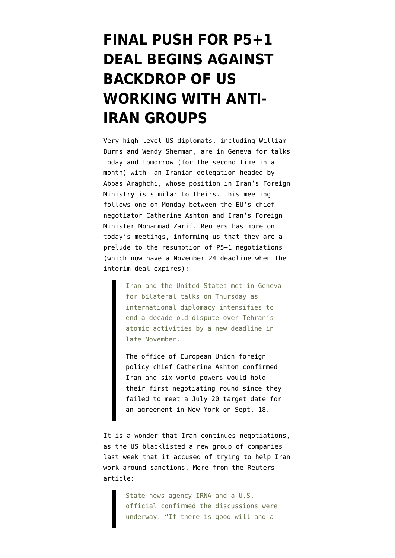## **[FINAL PUSH FOR P5+1](https://www.emptywheel.net/2014/09/04/final-push-for-p51-deal-begins-against-backdrop-of-us-working-with-anti-iran-groups/) [DEAL BEGINS AGAINST](https://www.emptywheel.net/2014/09/04/final-push-for-p51-deal-begins-against-backdrop-of-us-working-with-anti-iran-groups/) [BACKDROP OF US](https://www.emptywheel.net/2014/09/04/final-push-for-p51-deal-begins-against-backdrop-of-us-working-with-anti-iran-groups/) [WORKING WITH ANTI-](https://www.emptywheel.net/2014/09/04/final-push-for-p51-deal-begins-against-backdrop-of-us-working-with-anti-iran-groups/)[IRAN GROUPS](https://www.emptywheel.net/2014/09/04/final-push-for-p51-deal-begins-against-backdrop-of-us-working-with-anti-iran-groups/)**

Very high level US diplomats, including William Burns and Wendy Sherman, are in Geneva for talks today and tomorrow (for the second time in a month) with an Iranian delegation headed by Abbas Araghchi, whose position in Iran's Foreign Ministry is similar to theirs. This meeting follows one on [Monday between the EU's chief](http://english.farsnews.com/newstext.aspx?nn=13930613000330) [negotiator Catherine Ashton and Iran's Foreign](http://english.farsnews.com/newstext.aspx?nn=13930613000330) [Minister Mohammad Zarif.](http://english.farsnews.com/newstext.aspx?nn=13930613000330) [Reuters](http://www.reuters.com/article/2014/09/04/us-iran-nuclear-usa-idUSKBN0GZ0TP20140904) has more on today's meetings, informing us that they are a prelude to the resumption of P5+1 negotiations (which now have a November 24 deadline when the interim deal expires):

> Iran and the United States met in Geneva for bilateral talks on Thursday as international diplomacy intensifies to end a decade-old dispute over Tehran's atomic activities by a new deadline in late November.

> The office of European Union foreign policy chief Catherine Ashton confirmed Iran and six world powers would hold their first negotiating round since they failed to meet a July 20 target date for an agreement in New York on Sept. 18.

It is a wonder that Iran continues negotiations, as the [US blacklisted a new group of companies](http://online.wsj.com/articles/with-iran-talks-at-crossroads-u-s-levels-new-sanctions-1409336386) [last week](http://online.wsj.com/articles/with-iran-talks-at-crossroads-u-s-levels-new-sanctions-1409336386) that it accused of trying to help Iran work around sanctions. More from the Reuters article:

> State news agency IRNA and a U.S. official confirmed the discussions were underway. "If there is good will and a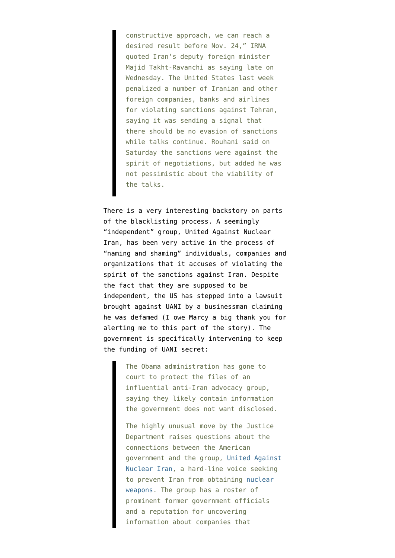constructive approach, we can reach a desired result before Nov. 24," IRNA quoted Iran's deputy foreign minister Majid Takht-Ravanchi as saying late on Wednesday. The United States last week penalized a number of Iranian and other foreign companies, banks and airlines for violating sanctions against Tehran, saying it was sending a signal that there should be no evasion of sanctions while talks continue. Rouhani said on Saturday the sanctions were against the spirit of negotiations, but added he was not pessimistic about the viability of the talks.

There is a very interesting backstory on parts of the blacklisting process. A seemingly "independent" group, United Against Nuclear Iran, has been very active in the process of "naming and shaming" individuals, companies and organizations that it accuses of violating the spirit of the sanctions against Iran. Despite the fact that they are supposed to be independent, the [US has stepped into a lawsuit](http://www.nytimes.com/2014/07/28/us/politics/us-justice-dept-moves-to-shield-anti-iran-groups-files-united-against-nuclear-iran.html) [brought against UANI](http://www.nytimes.com/2014/07/28/us/politics/us-justice-dept-moves-to-shield-anti-iran-groups-files-united-against-nuclear-iran.html) by a businessman claiming he was defamed (I owe Marcy a big thank you for alerting me to this part of the story). The government is specifically intervening to keep the funding of UANI secret:

> The Obama administration has gone to court to protect the files of an influential anti-Iran advocacy group, saying they likely contain information the government does not want disclosed.

The highly unusual move by the Justice Department raises questions about the connections between the American government and the group, [United Against](http://www.unitedagainstnucleariran.com/) [Nuclear Iran](http://www.unitedagainstnucleariran.com/), a hard-line voice seeking to prevent Iran from obtaining [nuclear](http://topics.nytimes.com/top/news/science/topics/atomic_weapons/index.html?inline=nyt-classifier) [weapons.](http://topics.nytimes.com/top/news/science/topics/atomic_weapons/index.html?inline=nyt-classifier) The group has a roster of prominent former government officials and a reputation for uncovering information about companies that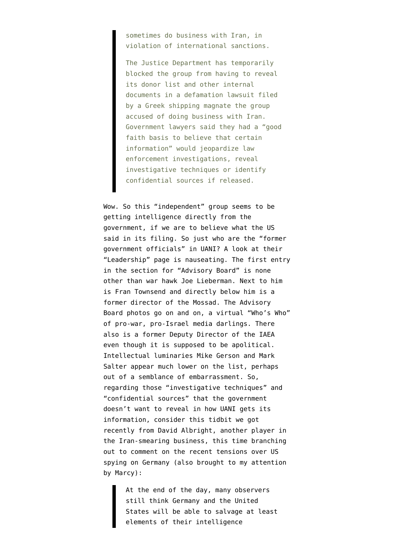sometimes do business with Iran, in violation of international sanctions.

The Justice Department has temporarily blocked the group from having to reveal its donor list and other internal documents in a defamation lawsuit filed by a Greek shipping magnate the group accused of doing business with Iran. Government lawyers said they had a "good faith basis to believe that certain information" would jeopardize law enforcement investigations, reveal investigative techniques or identify confidential sources if released.

Wow. So this "independent" group seems to be getting intelligence directly from the government, if we are to believe what the US said in its filing. So just who are the "former government officials" in UANI? A look at their "[Leadership](http://www.unitedagainstnucleariran.com/about/leadership)" page is nauseating. The first entry in the section for "Advisory Board" is none other than war hawk Joe Lieberman. Next to him is Fran Townsend and directly below him is a former director of the Mossad. The Advisory Board photos go on and on, a virtual "Who's Who" of pro-war, pro-Israel media darlings. There also is a former Deputy Director of the IAEA even though it is supposed to be apolitical. Intellectual luminaries Mike Gerson and Mark Salter appear much lower on the list, perhaps out of a semblance of embarrassment. So, regarding those "investigative techniques" and "confidential sources" that the government doesn't want to reveal in how UANI gets its information, consider [this tidbit we got](http://www.thedailybeast.com/articles/2014/07/12/one-big-reason-the-cia-spied-on-germany-worries-about-russian-moles-in-berlin.html) [recently from David Albright](http://www.thedailybeast.com/articles/2014/07/12/one-big-reason-the-cia-spied-on-germany-worries-about-russian-moles-in-berlin.html), another player in the Iran-smearing business, this time branching out to comment on the recent tensions over US spying on Germany (also brought to my attention by Marcy):

> At the end of the day, many observers still think Germany and the United States will be able to salvage at least elements of their intelligence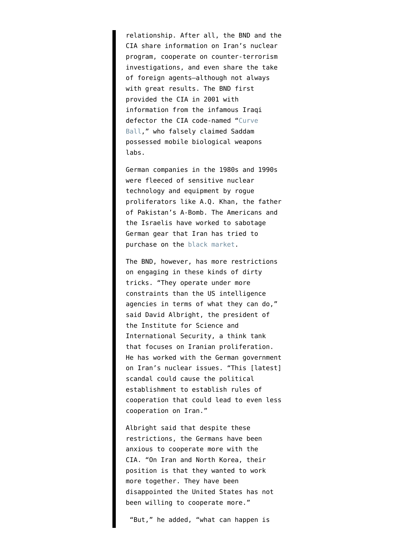relationship. After all, the BND and the CIA share information on Iran's nuclear program, cooperate on counter-terrorism investigations, and even share the take of foreign agents—although not always with great results. The BND first provided the CIA in 2001 with information from the infamous Iraqi defector the CIA code-named "[Curve](http://www.latimes.com/world/middleeast/la-na-curveball20nov20-story.html#page=1) [Ball](http://www.latimes.com/world/middleeast/la-na-curveball20nov20-story.html#page=1)," who falsely claimed Saddam possessed mobile biological weapons labs.

German companies in the 1980s and 1990s were fleeced of sensitive nuclear technology and equipment by rogue proliferators like A.Q. Khan, the father of Pakistan's A-Bomb. The Americans and the Israelis have worked to sabotage German gear that Iran has tried to purchase on the [black market](http://www.newrepublic.com/article/world/75952/operation-sabotage).

The BND, however, has more restrictions on engaging in these kinds of dirty tricks. "They operate under more constraints than the US intelligence agencies in terms of what they can do," said David Albright, the president of the Institute for Science and International Security, a think tank that focuses on Iranian proliferation. He has worked with the German government on Iran's nuclear issues. "This [latest] scandal could cause the political establishment to establish rules of cooperation that could lead to even less cooperation on Iran."

Albright said that despite these restrictions, the Germans have been anxious to cooperate more with the CIA. "On Iran and North Korea, their position is that they wanted to work more together. They have been disappointed the United States has not been willing to cooperate more."

"But," he added, "what can happen is